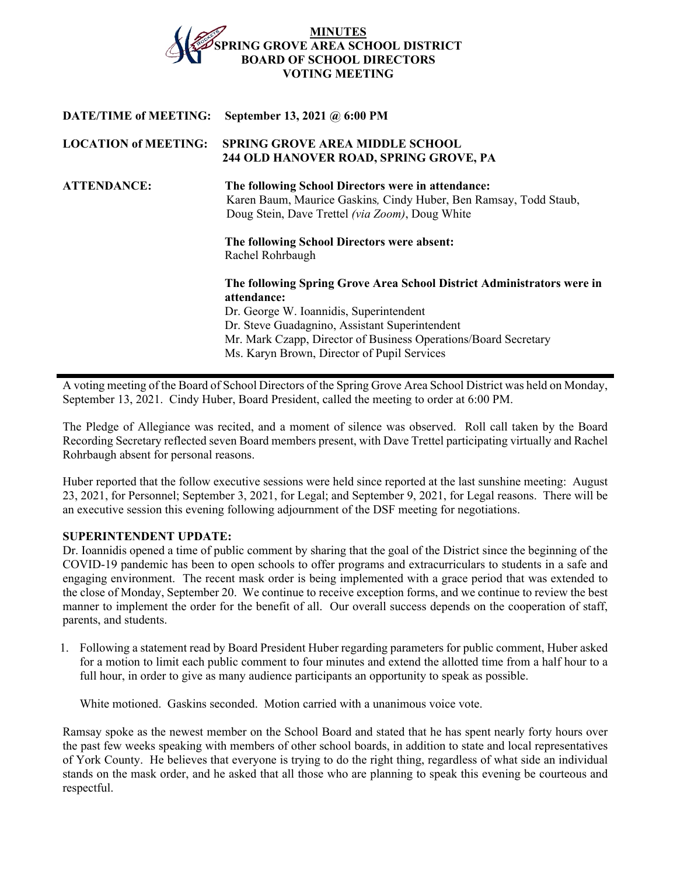# **MINUTES SPRING GROVE AREA SCHOOL DISTRICT D OF SCHOOL DIRECTORS VOTING MEETING**

| <b>DATE/TIME of MEETING:</b> | September 13, 2021 @ 6:00 PM                                                                                                                                                                                                                                                                         |
|------------------------------|------------------------------------------------------------------------------------------------------------------------------------------------------------------------------------------------------------------------------------------------------------------------------------------------------|
| <b>LOCATION of MEETING:</b>  | <b>SPRING GROVE AREA MIDDLE SCHOOL</b><br>244 OLD HANOVER ROAD, SPRING GROVE, PA                                                                                                                                                                                                                     |
| <b>ATTENDANCE:</b>           | The following School Directors were in attendance:<br>Karen Baum, Maurice Gaskins, Cindy Huber, Ben Ramsay, Todd Staub,<br>Doug Stein, Dave Trettel (via Zoom), Doug White<br>The following School Directors were absent:<br>Rachel Rohrbaugh                                                        |
|                              | The following Spring Grove Area School District Administrators were in<br>attendance:<br>Dr. George W. Ioannidis, Superintendent<br>Dr. Steve Guadagnino, Assistant Superintendent<br>Mr. Mark Czapp, Director of Business Operations/Board Secretary<br>Ms. Karyn Brown, Director of Pupil Services |

A voting meeting of the Board of School Directors of the Spring Grove Area School District was held on Monday, September 13, 2021. Cindy Huber, Board President, called the meeting to order at 6:00 PM.

The Pledge of Allegiance was recited, and a moment of silence was observed. Roll call taken by the Board Recording Secretary reflected seven Board members present, with Dave Trettel participating virtually and Rachel Rohrbaugh absent for personal reasons.

Huber reported that the follow executive sessions were held since reported at the last sunshine meeting: August 23, 2021, for Personnel; September 3, 2021, for Legal; and September 9, 2021, for Legal reasons. There will be an executive session this evening following adjournment of the DSF meeting for negotiations.

### **SUPERINTENDENT UPDATE:**

Dr. Ioannidis opened a time of public comment by sharing that the goal of the District since the beginning of the COVID-19 pandemic has been to open schools to offer programs and extracurriculars to students in a safe and engaging environment. The recent mask order is being implemented with a grace period that was extended to the close of Monday, September 20. We continue to receive exception forms, and we continue to review the best manner to implement the order for the benefit of all. Our overall success depends on the cooperation of staff, parents, and students.

1. Following a statement read by Board President Huber regarding parameters for public comment, Huber asked for a motion to limit each public comment to four minutes and extend the allotted time from a half hour to a full hour, in order to give as many audience participants an opportunity to speak as possible.

White motioned. Gaskins seconded. Motion carried with a unanimous voice vote.

Ramsay spoke as the newest member on the School Board and stated that he has spent nearly forty hours over the past few weeks speaking with members of other school boards, in addition to state and local representatives of York County. He believes that everyone is trying to do the right thing, regardless of what side an individual stands on the mask order, and he asked that all those who are planning to speak this evening be courteous and respectful.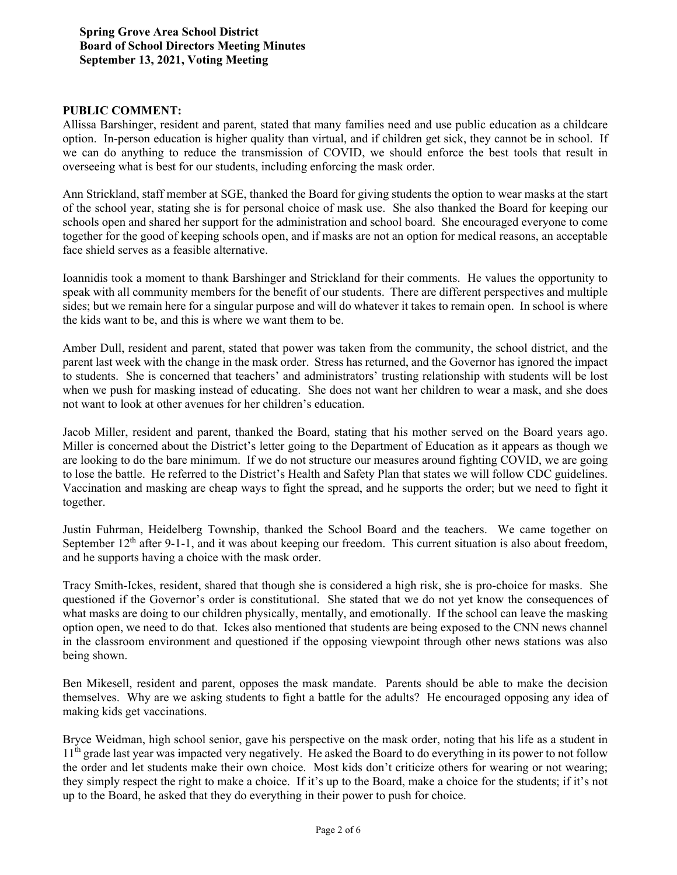## **PUBLIC COMMENT:**

Allissa Barshinger, resident and parent, stated that many families need and use public education as a childcare option. In-person education is higher quality than virtual, and if children get sick, they cannot be in school. If we can do anything to reduce the transmission of COVID, we should enforce the best tools that result in overseeing what is best for our students, including enforcing the mask order.

Ann Strickland, staff member at SGE, thanked the Board for giving students the option to wear masks at the start of the school year, stating she is for personal choice of mask use. She also thanked the Board for keeping our schools open and shared her support for the administration and school board. She encouraged everyone to come together for the good of keeping schools open, and if masks are not an option for medical reasons, an acceptable face shield serves as a feasible alternative.

Ioannidis took a moment to thank Barshinger and Strickland for their comments. He values the opportunity to speak with all community members for the benefit of our students. There are different perspectives and multiple sides; but we remain here for a singular purpose and will do whatever it takes to remain open. In school is where the kids want to be, and this is where we want them to be.

Amber Dull, resident and parent, stated that power was taken from the community, the school district, and the parent last week with the change in the mask order. Stress has returned, and the Governor has ignored the impact to students. She is concerned that teachers' and administrators' trusting relationship with students will be lost when we push for masking instead of educating. She does not want her children to wear a mask, and she does not want to look at other avenues for her children's education.

Jacob Miller, resident and parent, thanked the Board, stating that his mother served on the Board years ago. Miller is concerned about the District's letter going to the Department of Education as it appears as though we are looking to do the bare minimum. If we do not structure our measures around fighting COVID, we are going to lose the battle. He referred to the District's Health and Safety Plan that states we will follow CDC guidelines. Vaccination and masking are cheap ways to fight the spread, and he supports the order; but we need to fight it together.

Justin Fuhrman, Heidelberg Township, thanked the School Board and the teachers. We came together on September  $12<sup>th</sup>$  after 9-1-1, and it was about keeping our freedom. This current situation is also about freedom, and he supports having a choice with the mask order.

Tracy Smith-Ickes, resident, shared that though she is considered a high risk, she is pro-choice for masks. She questioned if the Governor's order is constitutional. She stated that we do not yet know the consequences of what masks are doing to our children physically, mentally, and emotionally. If the school can leave the masking option open, we need to do that. Ickes also mentioned that students are being exposed to the CNN news channel in the classroom environment and questioned if the opposing viewpoint through other news stations was also being shown.

Ben Mikesell, resident and parent, opposes the mask mandate. Parents should be able to make the decision themselves. Why are we asking students to fight a battle for the adults? He encouraged opposing any idea of making kids get vaccinations.

Bryce Weidman, high school senior, gave his perspective on the mask order, noting that his life as a student in  $11<sup>th</sup>$  grade last year was impacted very negatively. He asked the Board to do everything in its power to not follow the order and let students make their own choice. Most kids don't criticize others for wearing or not wearing; they simply respect the right to make a choice. If it's up to the Board, make a choice for the students; if it's not up to the Board, he asked that they do everything in their power to push for choice.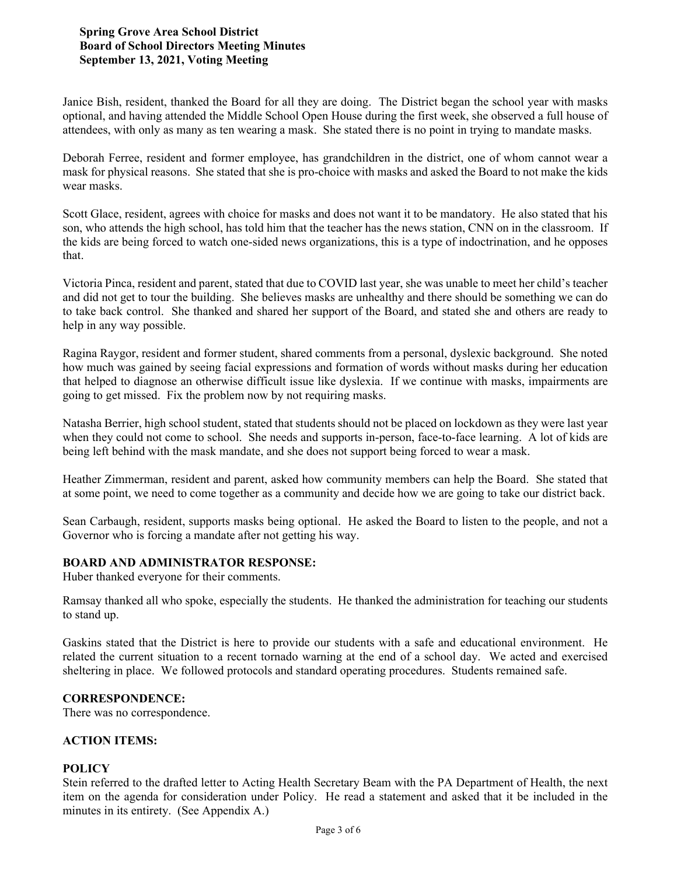### **Spring Grove Area School District Board of School Directors Meeting Minutes September 13, 2021, Voting Meeting**

Janice Bish, resident, thanked the Board for all they are doing. The District began the school year with masks optional, and having attended the Middle School Open House during the first week, she observed a full house of attendees, with only as many as ten wearing a mask. She stated there is no point in trying to mandate masks.

Deborah Ferree, resident and former employee, has grandchildren in the district, one of whom cannot wear a mask for physical reasons. She stated that she is pro-choice with masks and asked the Board to not make the kids wear masks.

Scott Glace, resident, agrees with choice for masks and does not want it to be mandatory. He also stated that his son, who attends the high school, has told him that the teacher has the news station, CNN on in the classroom. If the kids are being forced to watch one-sided news organizations, this is a type of indoctrination, and he opposes that.

Victoria Pinca, resident and parent, stated that due to COVID last year, she was unable to meet her child's teacher and did not get to tour the building. She believes masks are unhealthy and there should be something we can do to take back control. She thanked and shared her support of the Board, and stated she and others are ready to help in any way possible.

Ragina Raygor, resident and former student, shared comments from a personal, dyslexic background. She noted how much was gained by seeing facial expressions and formation of words without masks during her education that helped to diagnose an otherwise difficult issue like dyslexia. If we continue with masks, impairments are going to get missed. Fix the problem now by not requiring masks.

Natasha Berrier, high school student, stated that students should not be placed on lockdown as they were last year when they could not come to school. She needs and supports in-person, face-to-face learning. A lot of kids are being left behind with the mask mandate, and she does not support being forced to wear a mask.

Heather Zimmerman, resident and parent, asked how community members can help the Board. She stated that at some point, we need to come together as a community and decide how we are going to take our district back.

Sean Carbaugh, resident, supports masks being optional. He asked the Board to listen to the people, and not a Governor who is forcing a mandate after not getting his way.

### **BOARD AND ADMINISTRATOR RESPONSE:**

Huber thanked everyone for their comments.

Ramsay thanked all who spoke, especially the students. He thanked the administration for teaching our students to stand up.

Gaskins stated that the District is here to provide our students with a safe and educational environment. He related the current situation to a recent tornado warning at the end of a school day. We acted and exercised sheltering in place. We followed protocols and standard operating procedures. Students remained safe.

## **CORRESPONDENCE:**

There was no correspondence.

### **ACTION ITEMS:**

### **POLICY**

Stein referred to the drafted letter to Acting Health Secretary Beam with the PA Department of Health, the next item on the agenda for consideration under Policy. He read a statement and asked that it be included in the minutes in its entirety. (See Appendix A.)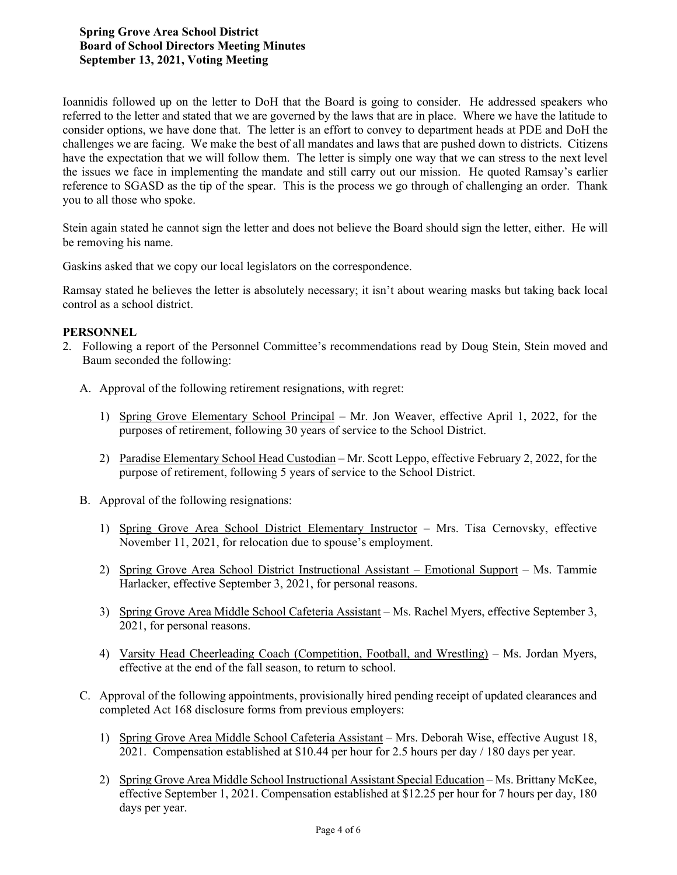### **Spring Grove Area School District Board of School Directors Meeting Minutes September 13, 2021, Voting Meeting**

Ioannidis followed up on the letter to DoH that the Board is going to consider. He addressed speakers who referred to the letter and stated that we are governed by the laws that are in place. Where we have the latitude to consider options, we have done that. The letter is an effort to convey to department heads at PDE and DoH the challenges we are facing. We make the best of all mandates and laws that are pushed down to districts. Citizens have the expectation that we will follow them. The letter is simply one way that we can stress to the next level the issues we face in implementing the mandate and still carry out our mission. He quoted Ramsay's earlier reference to SGASD as the tip of the spear. This is the process we go through of challenging an order. Thank you to all those who spoke.

Stein again stated he cannot sign the letter and does not believe the Board should sign the letter, either. He will be removing his name.

Gaskins asked that we copy our local legislators on the correspondence.

Ramsay stated he believes the letter is absolutely necessary; it isn't about wearing masks but taking back local control as a school district.

#### **PERSONNEL**

- 2. Following a report of the Personnel Committee's recommendations read by Doug Stein, Stein moved and Baum seconded the following:
	- A. Approval of the following retirement resignations, with regret:
		- 1) Spring Grove Elementary School Principal Mr. Jon Weaver, effective April 1, 2022, for the purposes of retirement, following 30 years of service to the School District.
		- 2) Paradise Elementary School Head Custodian Mr. Scott Leppo, effective February 2, 2022, for the purpose of retirement, following 5 years of service to the School District.
	- B. Approval of the following resignations:
		- 1) Spring Grove Area School District Elementary Instructor Mrs. Tisa Cernovsky, effective November 11, 2021, for relocation due to spouse's employment.
		- 2) Spring Grove Area School District Instructional Assistant Emotional Support Ms. Tammie Harlacker, effective September 3, 2021, for personal reasons.
		- 3) Spring Grove Area Middle School Cafeteria Assistant Ms. Rachel Myers, effective September 3, 2021, for personal reasons.
		- 4) Varsity Head Cheerleading Coach (Competition, Football, and Wrestling) Ms. Jordan Myers, effective at the end of the fall season, to return to school.
	- C. Approval of the following appointments, provisionally hired pending receipt of updated clearances and completed Act 168 disclosure forms from previous employers:
		- 1) Spring Grove Area Middle School Cafeteria Assistant Mrs. Deborah Wise, effective August 18, 2021. Compensation established at \$10.44 per hour for 2.5 hours per day / 180 days per year.
		- 2) Spring Grove Area Middle School Instructional Assistant Special Education Ms. Brittany McKee, effective September 1, 2021. Compensation established at \$12.25 per hour for 7 hours per day, 180 days per year.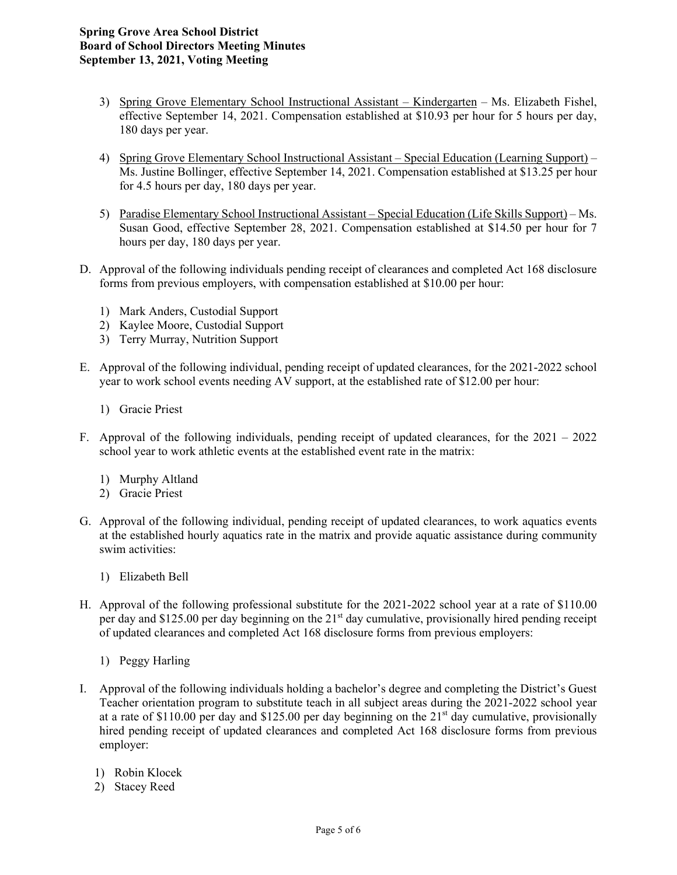- 3) Spring Grove Elementary School Instructional Assistant Kindergarten Ms. Elizabeth Fishel, effective September 14, 2021. Compensation established at \$10.93 per hour for 5 hours per day, 180 days per year.
- 4) Spring Grove Elementary School Instructional Assistant Special Education (Learning Support) Ms. Justine Bollinger, effective September 14, 2021. Compensation established at \$13.25 per hour for 4.5 hours per day, 180 days per year.
- 5) Paradise Elementary School Instructional Assistant Special Education (Life Skills Support) Ms. Susan Good, effective September 28, 2021. Compensation established at \$14.50 per hour for 7 hours per day, 180 days per year.
- D. Approval of the following individuals pending receipt of clearances and completed Act 168 disclosure forms from previous employers, with compensation established at \$10.00 per hour:
	- 1) Mark Anders, Custodial Support
	- 2) Kaylee Moore, Custodial Support
	- 3) Terry Murray, Nutrition Support
- E. Approval of the following individual, pending receipt of updated clearances, for the 2021-2022 school year to work school events needing AV support, at the established rate of \$12.00 per hour:
	- 1) Gracie Priest
- F. Approval of the following individuals, pending receipt of updated clearances, for the  $2021 2022$ school year to work athletic events at the established event rate in the matrix:
	- 1) Murphy Altland
	- 2) Gracie Priest
- G. Approval of the following individual, pending receipt of updated clearances, to work aquatics events at the established hourly aquatics rate in the matrix and provide aquatic assistance during community swim activities:
	- 1) Elizabeth Bell
- H. Approval of the following professional substitute for the 2021-2022 school year at a rate of \$110.00 per day and \$125.00 per day beginning on the  $21<sup>st</sup>$  day cumulative, provisionally hired pending receipt of updated clearances and completed Act 168 disclosure forms from previous employers:
	- 1) Peggy Harling
- I. Approval of the following individuals holding a bachelor's degree and completing the District's Guest Teacher orientation program to substitute teach in all subject areas during the 2021-2022 school year at a rate of \$110.00 per day and \$125.00 per day beginning on the  $21<sup>st</sup>$  day cumulative, provisionally hired pending receipt of updated clearances and completed Act 168 disclosure forms from previous employer:
	- 1) Robin Klocek
	- 2) Stacey Reed